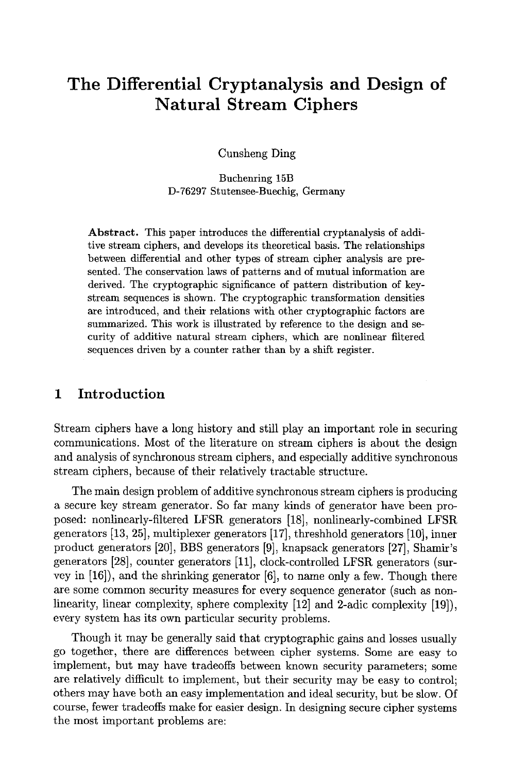# **The Differential Cryptanalysis and Design of Natural Stream Ciphers**

Cunsheng Ding

Buchenring 15B D-76297 Stutensee-Buechig, Germany

Abstract. This paper introduces the differential cryptanalysis of additive stream ciphers, and develops its theoretical basis. The relationships **between** differential and **other types** of stream cipher analysis are presented. The conservation laws of patterns and of mutual information are derived. The cryptographic significance of pattern distribution of keystream sequences is shown. The cryptographic transformation densities are introduced, and their relations with other cryptographic factors are summarized. This work is illustrated by reference to the design and security of additive natural stream ciphers, which are nonlinear filtered sequences driven by a counter rather than by a shift register.

### 1 Introduction

Stream ciphers have a long history and still play an important role in securing communications. Most of the literature on stream ciphers is about the design and analysis of synchronous stream ciphers, and especially additive synchronous stream ciphers, because of their relatively tractable structure.

The main design problem of additive synchronous stream ciphers is producing a secure key stream generator. So far many kinds of generator have been proposed: nonlinearly-filtered LFSR generators [18], nonlinearly-combined LFSR generators [13, 25], multiplexer generators [17], threshhold generators [10], inner product generators [20], BBS generators [9], knapsack generators [27], Shamir's generators [28], counter generators [11], clock-controlled LFSR generators (survey in [16]), and the shrinking generator [6], to name only a few. Though there are some common security measures for every sequence generator (such as nonlinearity, linear complexity, sphere complexity [12] and 2-adic complexity [19]), every system has its own particular security problems.

Though it may be generally said that cryptographic gains and losses usually go together, there are differences between cipher systems. Some are easy to implement, but may have tradeoffs between known security parameters; some are relatively difficult to implement, but their security may be easy to control; others may have both an easy implementation and ideal security, but be slow. Of course, fewer tradeoffs make for easier design. In designing secure cipher systems the most important problems are: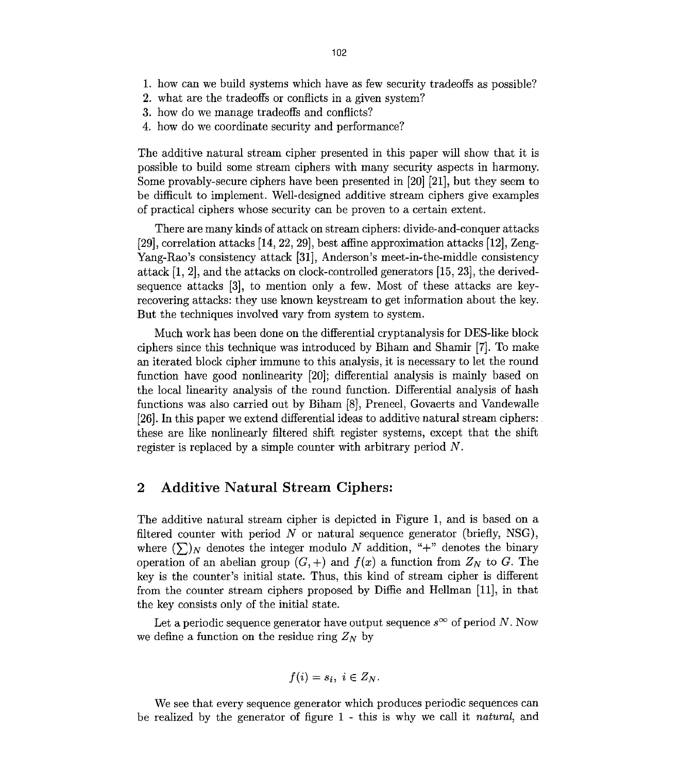- 1. how can we build systems which have as few security tradeoffs as possible?
- 2. what are the tradeoffs or conflicts in a given system?
- 3. how do we manage tradeoffs and conflicts?
- 4. how do we coordinate security and performance?

The additive natural stream cipher presented in this paper will show that it is possible to build some stream ciphers with many security aspects in harmony. Some provably-secure ciphers have been presented in [20] [21], but they seem to be difficult to implement. Well-designed additive stream ciphers give examples of practical ciphers whose security can be proven to a certain extent.

There are many kinds of attack on stream ciphers: divide-and-conquer attacks [29], correlation attacks [14, 22, 29], best affine approximation attacks [12], Zeng-Yang-Rao's consistency attack [31], Anderson's meet-in-the-middle consistency attack [1, 2], and the attacks on clock-controlled generators [15, 23], the derivedsequence attacks [3], to mention only a few. Most of these attacks are keyrecovering attacks: they use known keystream to get information about the key. But the techniques involved vary from system to system.

Much work has been done on the differential cryptanalysis for DES-like block ciphers since this technique was introduced by Biham and Shamir [7]. To make an iterated block cipher immune to this analysis, it is necessary to let the round function have good nonlinearity [20]; differential analysis is mainly based on the local linearity analysis of the round function. Differential analysis of hash functions was also carried out by Biham [8], Preneel, Govaerts and Vandewalle [26]. In this paper we extend differential ideas to additive natural stream ciphers: these are like nonlinearly filtered shift register systems, except that the shift register is replaced by a simple counter with arbitrary period N.

## 2 Additive Natural Stream Ciphers:

The additive natural stream cipher is depicted in Figure 1, and is based on a filtered counter with period  $N$  or natural sequence generator (briefly, NSG), where  $(\sum)_{N}$  denotes the integer modulo N addition, "+" denotes the binary operation of an abelian group  $(G, +)$  and  $f(x)$  a function from  $Z_N$  to G. The key is the counter's initial state. Thus, this kind of stream cipher is different from the counter stream ciphers proposed by Diffie and Hellman [11], in that the key consists only of the initial state.

Let a periodic sequence generator have output sequence  $s^{\infty}$  of period N. Now we define a function on the residue ring  $Z_N$  by

$$
f(i)=s_i, i\in Z_N.
$$

We see that every sequence generator which produces periodic sequences can be realized by the generator of figure 1 - this is why we call it *natural,* and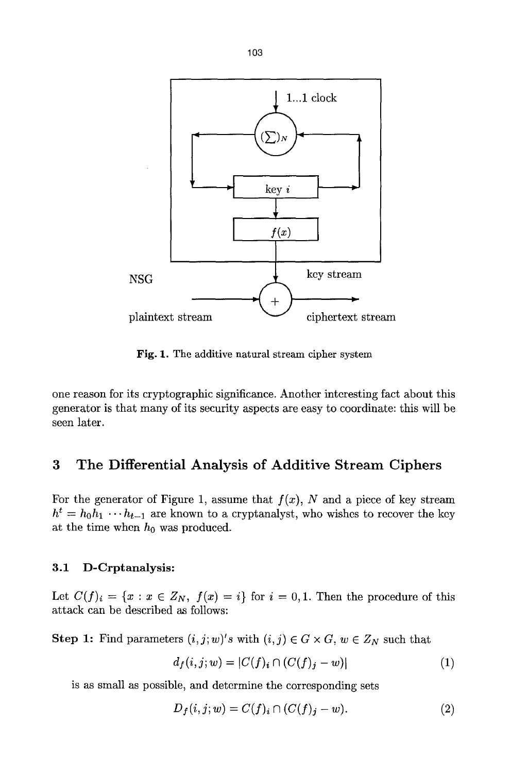

Fig. 1. The additive natural stream cipher system

one reason for its cryptographic significance. Another interesting fact about this generator is that many of its security aspects are easy to coordinate: this will be seen later.

# **3 The Differential Analysis of Additive Stream Ciphers**

For the generator of Figure 1, assume that  $f(x)$ , N and a piece of key stream  $h^t = h_0 h_1 \cdots h_{t-1}$  are known to a cryptanalyst, who wishes to recover the key at the time when  $h_0$  was produced.

#### **3.1 D-Crptanalysis:**

Let  $C(f)_i = \{x : x \in Z_N, f(x) = i\}$  for  $i = 0,1$ . Then the procedure of this attack can be described as follows:

**Step 1:** Find parameters  $(i, j; w)'s$  with  $(i, j) \in G \times G$ ,  $w \in Z_N$  such that

$$
d_f(i, j; w) = |C(f)_i \cap (C(f)_j - w)| \tag{1}
$$

is as small as possible, and determine the corresponding sets

$$
D_f(i, j; w) = C(f)_i \cap (C(f)_j - w). \tag{2}
$$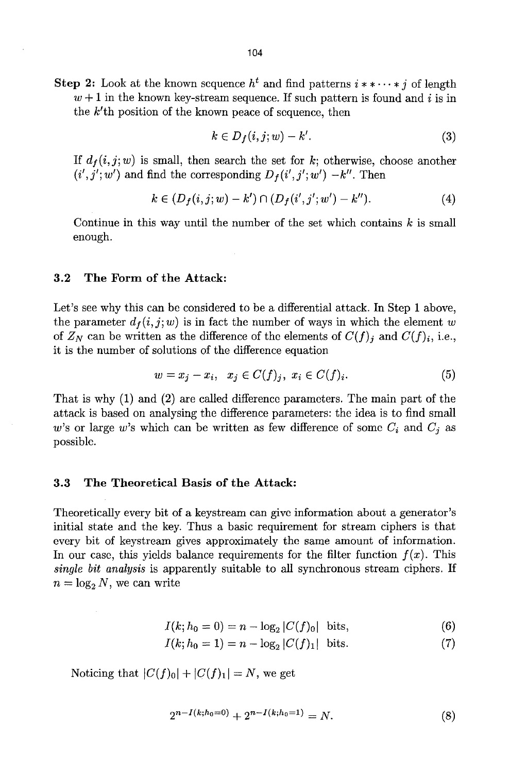$$
k \in D_f(i, j; w) - k'.\tag{3}
$$

If  $d_f(i, j; w)$  is small, then search the set for k; otherwise, choose another  $(i', j'; w')$  and find the corresponding  $D_f(i', j'; w') - k''$ . Then

$$
k \in (D_f(i,j;w) - k') \cap (D_f(i',j';w') - k''). \tag{4}
$$

Continue in this way until the number of the set which contains  $k$  is small enough.

#### 3.2 The Form of the **Attack:**

Let's see why this can be considered to be a differential attack. In Step 1 above, the parameter  $d_f(i, j; w)$  is in fact the number of ways in which the element w of  $Z_N$  can be written as the difference of the elements of  $C(f)_i$  and  $C(f)_i$ , i.e., it is the number of solutions of the difference equation

$$
w = x_j - x_i, \quad x_j \in C(f)_j, \quad x_i \in C(f)_i. \tag{5}
$$

That is why (1) and (2) are called difference parameters. The main part of the attack is based on analysing the difference parameters: the idea is to find small w's or large w's which can be written as few difference of some  $C_i$  and  $C_j$  as possible.

#### 3.3 The Theoretical Basis of **the Attack:**

Theoretically every bit of a keystream can give information about a generator's initial state and the key. Thus a basic requirement for stream ciphers is that every bit of keystream gives approximately the same amount of information. In our case, this yields balance requirements for the filter function  $f(x)$ . This *single bit analysis* is apparently suitable to all synchronous stream ciphers. If  $n = \log_2 N$ , we can write

$$
I(k; h_0 = 0) = n - \log_2 |C(f)_0| \text{ bits,}
$$
 (6)

 $I(k; h_0 = 1) = n - \log_2 |C(f)_1|$  bits. (7)

Noticing that  $|C(f)_0| + |C(f)_1| = N$ , we get

$$
2^{n-I(k;h_0=0)} + 2^{n-I(k;h_0=1)} = N.
$$
\n(8)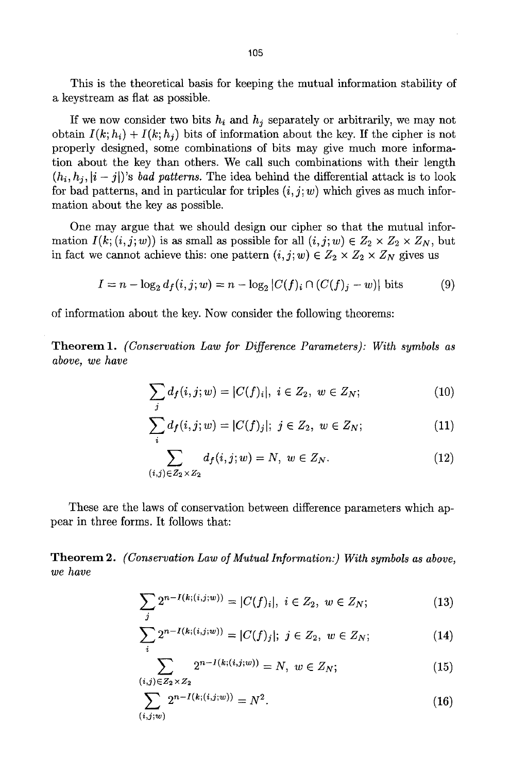This is the theoretical basis for keeping the mutual information stability of a keystream as flat as possible.

If we now consider two bits  $h_i$  and  $h_j$  separately or arbitrarily, we may not obtain  $I(k; h_i) + I(k; h_j)$  bits of information about the key. If the cipher is not properly designed, some combinations of bits may give much more information about the key than others. We call such combinations with their length  $(h_i, h_i, i - j)$ 's *bad patterns*. The idea behind the differential attack is to look for bad patterns, and in particular for triples  $(i, j; w)$  which gives as much information about the key as possible.

One may argue that we should design our cipher so that the mutual information  $I(k; (i, j; w))$  is as small as possible for all  $(i, j; w) \in Z_2 \times Z_2 \times Z_N$ , but in fact we cannot achieve this: one pattern  $(i, j; w) \in Z_2 \times Z_2 \times Z_N$  gives us

$$
I = n - \log_2 d_f(i, j; w) = n - \log_2 |C(f)_i \cap (C(f)_j - w)| \text{ bits}
$$
 (9)

of information about the key. Now consider the following theorems:

**Theorem** 1. *(Conservation Law for Difference Parameters): With symbols as above, we have* 

$$
\sum_{j} d_{f}(i, j; w) = |C(f)_{i}|, i \in Z_{2}, w \in Z_{N}; \qquad (10)
$$

$$
\sum_{i} d_{f}(i, j; w) = |C(f)_{j}|; \ j \in Z_{2}, \ w \in Z_{N}; \tag{11}
$$

$$
\sum_{(i,j)\in Z_2\times Z_2} d_f(i,j;w) = N, \ w \in Z_N. \tag{12}
$$

These are the laws of conservation between difference parameters which appear in three forms. It follows that:

**Theorem 2.**  *(Conservation Law of Mutual Information:) With symbols as above, we have* 

$$
\sum_{j} 2^{n-I(k;(i,j;w))} = |C(f)_i|, \ i \in Z_2, \ w \in Z_N; \tag{13}
$$

$$
\sum_{i} 2^{n-I(k;(i,j;w))} = |C(f)_j|; \ j \in Z_2, \ w \in Z_N; \tag{14}
$$

$$
\sum_{(i,j)\in Z_2\times Z_2} 2^{n-I(k;(i,j;w))} = N, \ w \in Z_N; \tag{15}
$$

$$
\sum_{(i,j;w)} 2^{n-I(k;(i,j;w))} = N^2.
$$
 (16)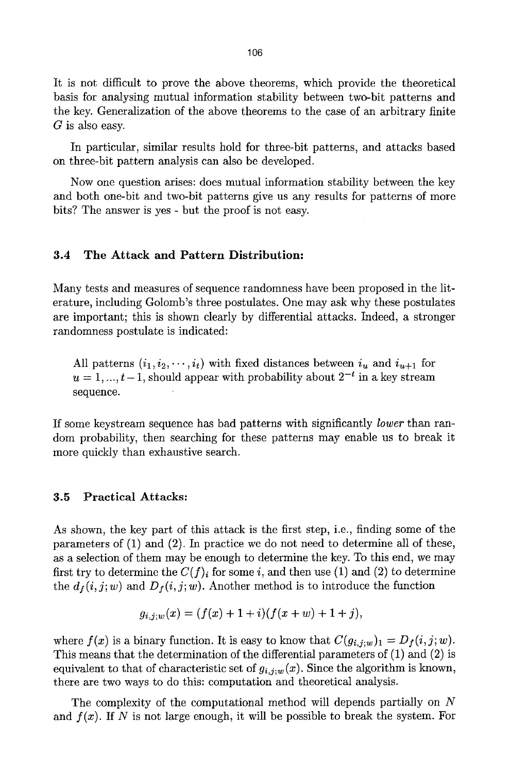It is not difficult to prove the above theorems, which provide the theoretical basis for analysing mutual information stability between two-bit patterns and the key. Generalization of the above theorems to the case of an arbitrary finite  $G$  is also easy.

In particular, similar results hold for three-bit patterns, and attacks based on three-bit pattern analysis can also be developed.

Now one question arises: does mutual information stability between the key and both one-bit and two-bit patterns give us any results for patterns of more bits? The answer is yes - but the proof is not easy.

#### **3.4 The Attack and Pattern Distribution:**

Many tests and measures of sequence randomness have been proposed in the literature, including Golomb's three postulates. One may ask why these postulates are important; this is shown clearly by differential attacks. Indeed, a stronger randomness postulate is indicated:

All patterns  $(i_1, i_2, \dots, i_t)$  with fixed distances between  $i_u$  and  $i_{u+1}$  for  $u = 1, ..., t-1$ , should appear with probability about  $2^{-t}$  in a key stream sequence.

If some keystream sequence has bad patterns with significantly *lower* than random probability, then searching for these patterns may enable us to break it more quickly than exhaustive search.

#### **3.5 Practical Attacks:**

As shown, the key part of this attack is the first step, i.e., finding some of the parameters of (1) and (2). In practice we do not need to determine all of these, as a selection of them may be enough to determine the key. To this end, we may first try to determine the  $C(f)_i$  for some i, and then use (1) and (2) to determine the  $d_f(i, j; w)$  and  $D_f(i, j; w)$ . Another method is to introduce the function

$$
g_{i,j;w}(x) = (f(x) + 1 + i)(f(x + w) + 1 + j),
$$

where  $f(x)$  is a binary function. It is easy to know that  $C(g_{i,j};w)_1 = D_f(i,j;w)$ . This means that the determination of the differential parameters of (1) and (2) is equivalent to that of characteristic set of  $g_{i,j;w}(x)$ . Since the algorithm is known, there are two ways to do this: computation and theoretical analysis.

The complexity of the computational method will depends partially on N and  $f(x)$ . If N is not large enough, it will be possible to break the system. For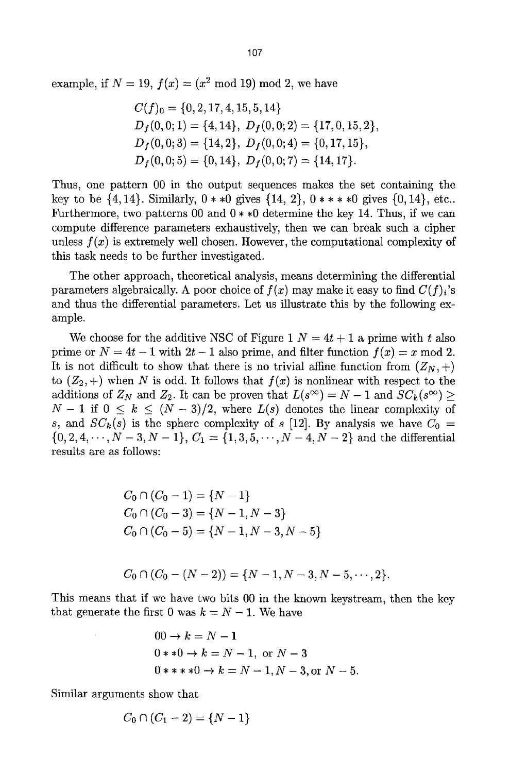example, if  $N = 19$ ,  $f(x) = (x^2 \mod 19) \mod 2$ , we have

$$
C(f)_0 = \{0, 2, 17, 4, 15, 5, 14\}
$$
  
\n
$$
D_f(0, 0; 1) = \{4, 14\}, D_f(0, 0; 2) = \{17, 0, 15, 2\},
$$
  
\n
$$
D_f(0, 0; 3) = \{14, 2\}, D_f(0, 0; 4) = \{0, 17, 15\},
$$
  
\n
$$
D_f(0, 0; 5) = \{0, 14\}, D_f(0, 0; 7) = \{14, 17\}.
$$

Thus, one pattern 00 in the output sequences makes the set containing the key to be  $\{4, 14\}$ . Similarly,  $0 * *0$  gives  $\{14, 2\}$ ,  $0 * * *0$  gives  $\{0, 14\}$ , etc.. Furthermore, two patterns 00 and  $0 * *0$  determine the key 14. Thus, if we can compute difference parameters exhaustively, then we can break such a cipher unless  $f(x)$  is extremely well chosen. However, the computational complexity of this task needs to be further investigated.

The other approach, theoretical analysis, means dctermining the differential parameters algebraically. A poor choice of  $f(x)$  may make it easy to find  $C(f)_i$ 's and thus the differential parameters. Let us illustrate this by the following example.

We choose for the additive NSC of Figure 1  $N = 4t + 1$  a prime with t also prime or  $N = 4t - 1$  with  $2t - 1$  also prime, and filter function  $f(x) = x \mod 2$ . It is not difficult to show that there is no trivial affine function from  $(Z_N, +)$ to  $(Z_2,+)$  when N is odd. It follows that  $f(x)$  is nonlinear with respect to the additions of  $Z_N$  and  $Z_2$ . It can be proven that  $L(s^\infty) = N - 1$  and  $SC_k(s^\infty) \ge$  $N-1$  if  $0 \leq k \leq (N-3)/2$ , where  $L(s)$  denotes the linear complexity of s, and  $SC_k(s)$  is the sphere complexity of s [12]. By analysis we have  $C_0 =$  $\{0, 2, 4, \dots, N-3, N-1\}, C_1 = \{1, 3, 5, \dots, N-4, N-2\}$  and the differential results are as follows:

$$
C_0 \cap (C_0 - 1) = \{N - 1\}
$$
  
\n
$$
C_0 \cap (C_0 - 3) = \{N - 1, N - 3\}
$$
  
\n
$$
C_0 \cap (C_0 - 5) = \{N - 1, N - 3, N - 5\}
$$

$$
C_0 \cap (C_0 - (N-2)) = \{N-1, N-3, N-5, \cdots, 2\}.
$$

This means that if we have two bits 00 in the known keystream, then the key that generate the first 0 was  $k = N - 1$ . We have

$$
00 \to k = N - 1
$$
  
0\*\*0 \to k = N - 1, or N - 3  
0\*\*\*0 \to k = N - 1, N - 3, or N - 5.

Similar arguments show that

$$
C_0 \cap (C_1 - 2) = \{N - 1\}
$$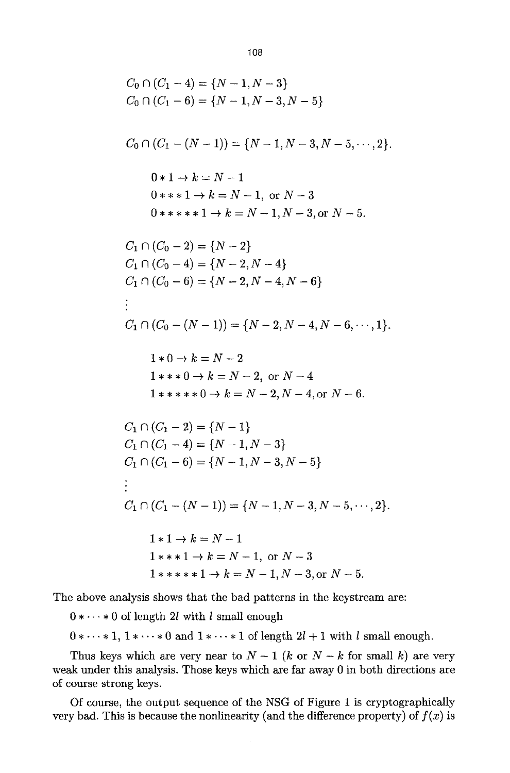$$
C_0 \cap (C_1 - 4) = \{N - 1, N - 3\}
$$
  
\n
$$
C_0 \cap (C_1 - 6) = \{N - 1, N - 3, N - 5\}
$$
  
\n
$$
C_0 \cap (C_1 - (N - 1)) = \{N - 1, N - 3, N - 5, \dots, 2\}.
$$
  
\n
$$
0 * 1 \rightarrow k = N - 1
$$
  
\n
$$
0 * * * 1 \rightarrow k = N - 1, \text{ or } N - 3
$$
  
\n
$$
0 * * * * * 1 \rightarrow k = N - 1, N - 3, \text{ or } N - 5.
$$
  
\n
$$
C_1 \cap (C_0 - 2) = \{N - 2\}
$$
  
\n
$$
C_1 \cap (C_0 - 4) = \{N - 2, N - 4\}
$$
  
\n
$$
C_1 \cap (C_0 - 6) = \{N - 2, N - 4, N - 6\}
$$
  
\n
$$
\vdots
$$
  
\n
$$
C_1 \cap (C_0 - (N - 1)) = \{N - 2, N - 4, N - 6, \dots, 1\}.
$$
  
\n
$$
1 * 0 \rightarrow k = N - 2
$$
  
\n
$$
1 * * * 0 \rightarrow k = N - 2, \text{ or } N - 4
$$
  
\n
$$
1 * * * * 0 \rightarrow k = N - 2, N - 4, \text{ or } N - 6.
$$
  
\n
$$
C_1 \cap (C_1 - 2) = \{N - 1\}
$$
  
\n
$$
C_1 \cap (C_1 - 6) = \{N - 1, N - 3, N - 5\}
$$
  
\n
$$
\vdots
$$
  
\n
$$
C_1 \cap (C_1 - (N - 1)) = \{N - 1, N - 3, N - 5, \dots, 2\}.
$$
  
\n
$$
1 * 1 \rightarrow k = N - 1
$$
  
\n
$$
1 * * * 1 \rightarrow k = N - 1, \text{ or } N - 3
$$
  
\n
$$
1 * * * * 1 \rightarrow k = N - 1, \text{ or } N - 3
$$
  
\n<math display="block</math>

The above analysis shows that the bad patterns in the keystream are:

 $0 * \cdots * 0$  of length 2l with l small enough

 $0 * \cdots * 1, 1 * \cdots * 0$  and  $1 * \cdots * 1$  of length  $2l + 1$  with l small enough.

Thus keys which are very near to  $N-1$  (k or  $N-k$  for small k) are very weak under this analysis. Those keys which are far away 0 in both directions are of course strong keys.

Of course, the output sequence of the NSG of Figure 1 is cryptographically very bad. This is because the nonlinearity (and the difference property) of  $f(x)$  is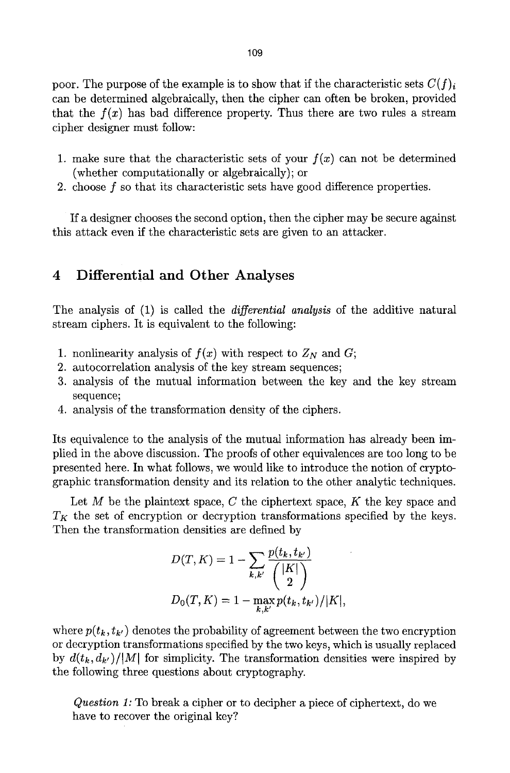poor. The purpose of the example is to show that if the characteristic sets  $C(f)_i$ can be determined algebraically, then the cipher can often be broken, provided that the  $f(x)$  has bad difference property. Thus there are two rules a stream cipher designer must follow:

- 1. make sure that the characteristic sets of your  $f(x)$  can not be determined (whether computationally or algebraically); or
- 2. choose f so that its characteristic sets have good difference properties.

If a designer chooses the second option, then the cipher may be secure against this attack even if the characteristic sets are given to an attacker.

### 4 Differential and Other Analyses

The analysis of (1) is called the *differential analysis* of the additive natural stream ciphers. It is equivalent to the following:

- 1. nonlinearity analysis of  $f(x)$  with respect to  $Z_N$  and  $G$ ;
- 2. autocorrelation analysis of the key stream sequences;
- 3. analysis of the mutual information between the key and the key stream sequence;
- 4. analysis of the transformation density of the ciphers.

Its equivalence to the analysis of the mutual information has already been implied in the above discussion. The proofs of other equivalences are too long to be presented here. In what follows, we would like to introduce the notion of cryptographic transformation density and its relation to the other analytic techniques.

Let M be the plaintext space, C the ciphertext space, K the key space and  $T_K$  the set of encryption or decryption transformations specified by the keys. Then the transformation densities are defined by

$$
D(T, K) = 1 - \sum_{k,k'} \frac{p(t_k, t_{k'})}{\binom{|K|}{2}}
$$
  

$$
D_0(T, K) = 1 - \max_{k,k'} p(t_k, t_{k'})/|K|,
$$

where  $p(t_k, t_{k'})$  denotes the probability of agreement between the two encryption or decryption transformations specified by the two keys, which is usually replaced by  $d(t_k, d_{k'})/|M|$  for simplicity. The transformation densities were inspired by the following three questions about cryptography.

*Question 1:* To break a cipher or to decipher a piece of ciphertext, do we have to recover the original key?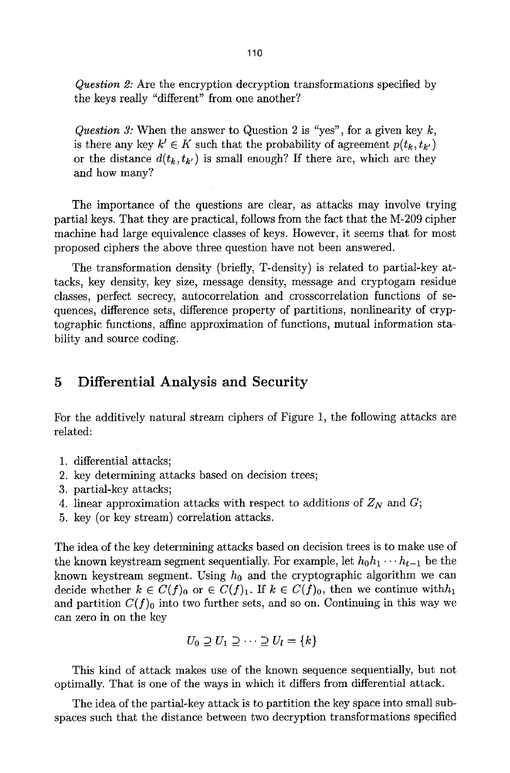*Question 2:* Are the encryption decryption transformations specified by the keys really "different" from one another?

*Question 3:* When the answer to Question 2 is *"yes",* for a given key k, is there any key  $k' \in K$  such that the probability of agreement  $p(t_k, t_{k'})$ or the distance  $d(t_k, t_{k'})$  is small enough? If there are, which are they and how many?

The importance of the questions are clear, as attacks may involve trying partial keys. That they are practical, follows from the fact that the M-209 cipher machine had large equivalence classes of keys. However, it seems that for most proposed ciphers the above three question have not been answered.

The transformation density (briefly, T-density) is related to partial-key attacks, key density, key size, message density, message and cryptogam residue classes, perfect secrecy, autocorrelation and crosscorrelation functions of sequences, difference sets, difference property of partitions, nonlinearity of cryptographic functions, affine approximation of functions, mutual information stability and source coding.

### **5 Differential Analysis and Security**

For the additively natural stream ciphers of Figure 1, the following attacks are related:

- 1. differential attacks;
- 2. key determining attacks based on decision trees;
- 3. partial-key attacks;
- 4. linear approximation attacks with respect to additions of  $Z_N$  and  $G$ ;
- 5. key (or key stream) correlation attacks.

The idea of the key determining attacks based on decision trees is to make use of the known keystream segment sequentially. For example, let  $h_0 h_1 \cdots h_{t-1}$  be the known keystream segment. Using  $h_0$  and the cryptographic algorithm we can decide whether  $k \in C(f)_0$  or  $\in C(f)_1$ . If  $k \in C(f)_0$ , then we continue with  $h_1$ and partition  $C(f)_0$  into two further sets, and so on. Continuing in this way we can zero in on the key

$$
U_0 \supseteq U_1 \supseteq \cdots \supseteq U_l = \{k\}
$$

This kind of attack makes use of the known sequence sequentially, but not optimally. That is one of the ways in which it differs from differential attack.

The idea of the partial-key attack is to partition the key space into small subspaces such that the distance between two decryption transformations specified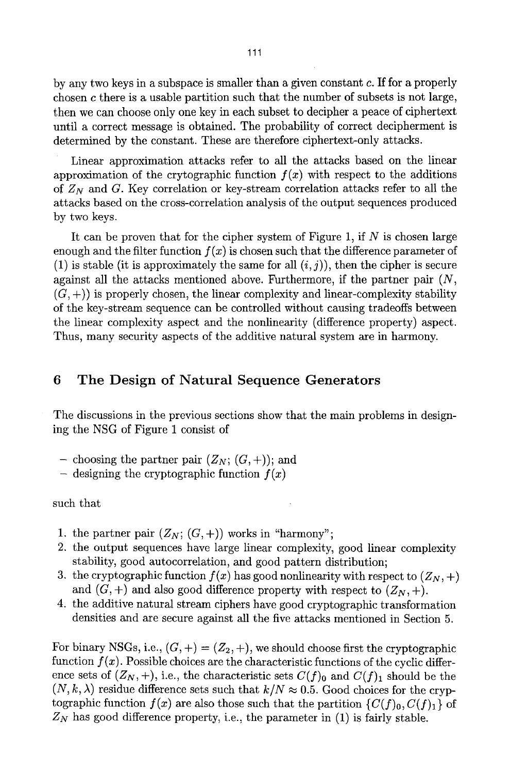by any two keys in a subspace is smaller than a given constant  $c$ . If for a properly chosen c there is a usable partition such that the number of subsets is not large, then we can choose only one key in each subset to decipher a peace of ciphertext until a correct message is obtained. The probability of correct decipherment is determined by the constant. These are therefore ciphertext-only attacks.

Linear approximation attacks refer to all the attacks based on the linear approximation of the crytographic function  $f(x)$  with respect to the additions of  $Z_N$  and G. Key correlation or key-stream correlation attacks refer to all the attacks based on the cross-correlation analysis of the output sequences produced by two keys.

It can be proven that for the cipher system of Figure 1, if  $N$  is chosen large enough and the filter function  $f(x)$  is chosen such that the difference parameter of (1) is stable (it is approximately the same for all  $(i, j)$ ), then the cipher is secure against all the attacks mentioned above. Furthermore, if the partner pair  $(N,$  $(G, +)$ ) is properly chosen, the linear complexity and linear-complexity stability of the key-stream sequence can be controlled without causing tradeoffs between the linear complexity aspect and the nonlinearity (difference property) aspect. Thus, many security aspects of the additive natural system are in harmony.

# 6 The Design of Natural Sequence Generators

The discussions in the previous sections show that the main problems in designing the NSG of Figure 1 consist of

- choosing the partner pair  $(Z_N; (G, +))$ ; and
- $-$  designing the cryptographic function  $f(x)$

such that

- 1. the partner pair  $(Z_N; (G, +))$  works in "harmony";
- 2. the output sequences have large linear complexity, good linear complexity stability, good autocorrelation, and good pattern distribution;
- 3. the cryptographic function  $f(x)$  has good nonlinearity with respect to  $(Z_N, +)$ and  $(G, +)$  and also good difference property with respect to  $(Z_N, +)$ .
- 4. the additive natural stream ciphers have good cryptographic transformation densities and are secure against all the five attacks mentioned in Section 5.

For binary NSGs, i.e.,  $(G,+)=(Z_2,+)$ , we should choose first the cryptographic function  $f(x)$ . Possible choices are the characteristic functions of the cyclic difference sets of  $(Z_N, +)$ , i.e., the characteristic sets  $C(f)_0$  and  $C(f)_1$  should be the  $(N, k, \lambda)$  residue difference sets such that  $k/N \approx 0.5$ . Good choices for the cryptographic function  $f(x)$  are also those such that the partition  $\{C(f)_0, C(f)_1\}$  of  $Z_N$  has good difference property, i.e., the parameter in  $(1)$  is fairly stable.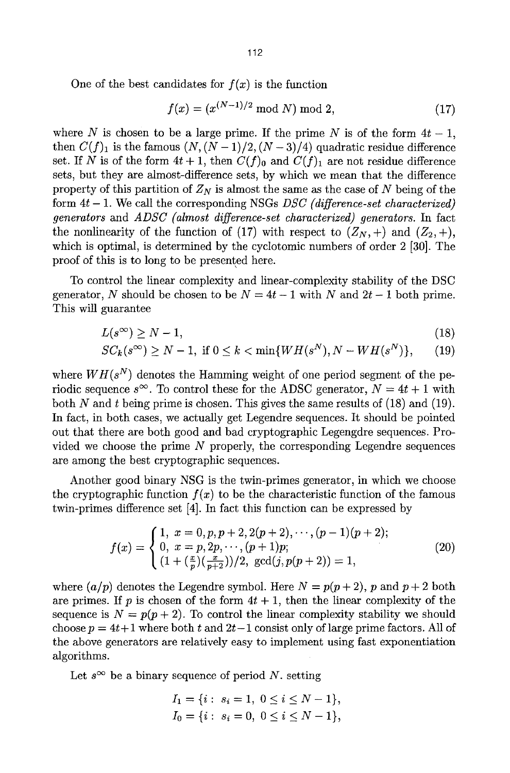One of the best candidates for  $f(x)$  is the function

$$
f(x) = (x^{(N-1)/2} \bmod N) \bmod 2,
$$
 (17)

where N is chosen to be a large prime. If the prime N is of the form  $4t - 1$ , then  $C(f)_1$  is the famous  $(N, (N-1)/2, (N-3)/4)$  quadratic residue difference set. If N is of the form  $4t + 1$ , then  $C(f)$ <sub>0</sub> and  $C(f)$ <sub>1</sub> are not residue difference sets, but they are almost-difference sets, by which we mean that the difference property of this partition of  $Z_N$  is almost the same as the case of N being of the form 4t - 1. We call the corresponding NSGs *DSC (difference-set characterized) generators* and *ADSC (almost difference-set characterized) generators.* In fact the nonlinearity of the function of (17) with respect to  $(Z_N, +)$  and  $(Z_2, +)$ , which is optimal, is determined by the cyclotomic numbers of order 2 [30]. The proof of this is to long to be presented here.

To control the linear complexity and linear-complexity stability of the DSC generator, N should be chosen to be  $N = 4t - 1$  with N and  $2t - 1$  both prime. This will guarantee

$$
L(s^{\infty}) \ge N - 1,\tag{18}
$$

$$
SC_k(s^{\infty}) \ge N - 1, \text{ if } 0 \le k < \min\{WH(s^N), N - WH(s^N)\},\qquad(19)
$$

where  $WH(s^N)$  denotes the Hamming weight of one period segment of the periodic sequence  $s^{\infty}$ . To control these for the ADSC generator,  $N = 4t + 1$  with both N and t being prime is chosen. This gives the same results of  $(18)$  and  $(19)$ . In fact, in both cases, we actually get Legendre sequences. It should be pointed out that there are both good and bad cryptographic Legengdre sequences. Provided we choose the prime  $N$  properly, the corresponding Legendre sequences are among the best cryptographic sequences.

Another good binary NSG is the twin-primes generator, in which we choose the cryptographic function  $f(x)$  to be the characteristic function of the famous twin-primes difference set [4]. In fact this function can be expressed by

$$
f(x) = \begin{cases} 1, & x = 0, p, p + 2, 2(p + 2), \dots, (p - 1)(p + 2); \\ 0, & x = p, 2p, \dots, (p + 1)p; \\ (1 + \left(\frac{x}{p}\right)\left(\frac{x}{p + 2}\right))/2, & \gcd(j, p(p + 2)) = 1, \end{cases}
$$
(20)

where  $(a/p)$  denotes the Legendre symbol. Here  $N = p(p+2)$ , p and  $p+2$  both are primes. If p is chosen of the form  $4t + 1$ , then the linear complexity of the sequence is  $N = p(p + 2)$ . To control the linear complexity stability we should choose  $p = 4t+1$  where both t and  $2t-1$  consist only of large prime factors. All of the above generators are relatively easy to implement using fast exponentiation algorithms.

Let  $s^{\infty}$  be a binary sequence of period N. setting

$$
I_1 = \{i: s_i = 1, 0 \le i \le N - 1\},
$$
  
\n
$$
I_0 = \{i: s_i = 0, 0 \le i \le N - 1\},
$$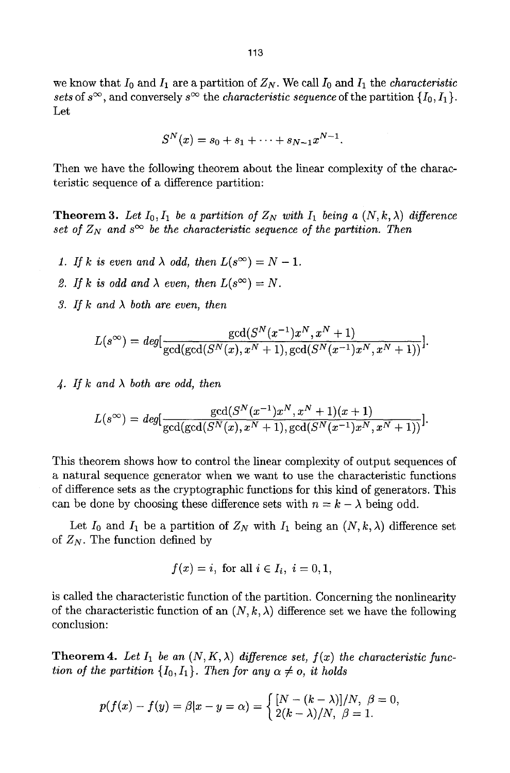we know that  $I_0$  and  $I_1$  are a partition of  $Z_N$ . We call  $I_0$  and  $I_1$  the *characteristic* sets of  $s^{\infty}$ , and conversely  $s^{\infty}$  the *characteristic sequence* of the partition  $\{I_0, I_1\}$ . Let

$$
S^{N}(x) = s_0 + s_1 + \cdots + s_{N-1}x^{N-1}.
$$

Then we have the following theorem about the linear complexity of the characteristic sequence of a difference partition:

**Theorem 3.** Let  $I_0, I_1$  be a partition of  $Z_N$  with  $I_1$  being a  $(N, k, \lambda)$  difference *set of*  $Z_N$  and  $s^{\infty}$  be the characteristic sequence of the partition. Then

- *1. If k is even and*  $\lambda$  *odd, then*  $L(s^{\infty}) = N 1$ .
- 2. If k is odd and  $\lambda$  even, then  $L(s^{\infty}) = N$ .
- *3. If k and A both are even, then*

$$
L(s^{\infty}) = deg[\frac{\gcd(S^{N}(x^{-1})x^{N}, x^{N}+1)}{\gcd(\gcd(S^{N}(x), x^{N}+1), \gcd(S^{N}(x^{-1})x^{N}, x^{N}+1))}].
$$

4. If k and  $\lambda$  both are odd, then

$$
L(s^{\infty}) = deg[\frac{\gcd(S^{N}(x^{-1})x^{N}, x^{N}+1)(x+1)}{\gcd(\gcd(S^{N}(x), x^{N}+1), \gcd(S^{N}(x^{-1})x^{N}, x^{N}+1))}].
$$

This theorem shows how to control the linear complexity of output sequences of a natural sequence generator when we want to use the characteristic functions of difference sets as the cryptographic functions for this kind of generators. This can be done by choosing these difference sets with  $n = k - \lambda$  being odd.

Let  $I_0$  and  $I_1$  be a partition of  $Z_N$  with  $I_1$  being an  $(N, k, \lambda)$  difference set of  $Z_N$ . The function defined by

$$
f(x) = i, \text{ for all } i \in I_i, i = 0, 1,
$$

is called the characteristic function of the partition. Concerning the nonlinearity of the characteristic function of an  $(N, k, \lambda)$  difference set we have the following conclusion:

**Theorem 4.** Let  $I_1$  be an  $(N, K, \lambda)$  difference set,  $f(x)$  the characteristic func*tion of the partition*  $\{I_0, I_1\}$ . *Then for any*  $\alpha \neq o$ , *it holds* 

$$
p(f(x) - f(y) = \beta |x - y = \alpha) = \begin{cases} [N - (k - \lambda)]/N, & \beta = 0, \\ 2(k - \lambda)/N, & \beta = 1. \end{cases}
$$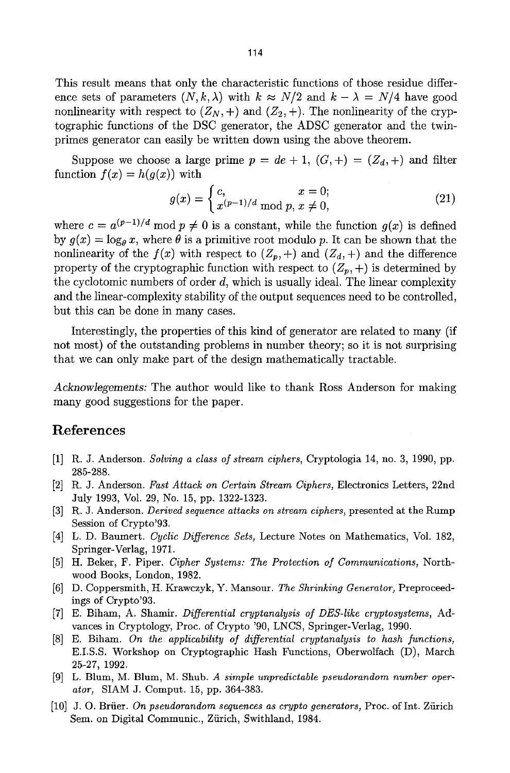This result means that only the characteristic functions of those residue difference sets of parameters  $(N, k, \lambda)$  with  $k \approx N/2$  and  $k - \lambda = N/4$  have good nonlinearity with respect to  $(Z_N, +)$  and  $(Z_2, +)$ . The nonlinearity of the cryptographic functions of the DSC generator, the ADSC generator and the twinprimes generator can easily be written down using the above theorem.

Suppose we choose a large prime  $p = de + 1$ ,  $(G, +) = (Z_d, +)$  and filter function  $f(x) = h(g(x))$  with

$$
g(x) = \begin{cases} c, & x = 0; \\ x^{(p-1)/d} \bmod p, & x \neq 0, \end{cases}
$$
 (21)

where  $c = a^{(p-1)/d} \mod p \neq 0$  is a constant, while the function  $q(x)$  is defined by  $g(x) = \log_\theta x$ , where  $\theta$  is a primitive root modulo p. It can be shown that the nonlinearity of the  $f(x)$  with respect to  $(Z_p, +)$  and  $(Z_d, +)$  and the difference property of the cryptographic function with respect to  $(Z_p, +)$  is determined by the cyclotomic numbers of order  $d$ , which is usually ideal. The linear complexity and the linear-complexity stability of the output sequences need to be controlled, but this can be done in many cases.

Interestingly, the properties of this kind of generator are related to many (if not most) of the outstanding problems in number theory; so it is not surprising that we can only make part of the design mathematically tractable.

*Acknow1egements:* The author would like to thank Ross Anderson for making many good suggestions for the paper.

### References

- [1] R.J. Anderson. *Solving a class of stream ciphers,* Cryptologia 14, no. 3, 1990, pp. 285-288.
- [2] R.J. Anderson. *Fast Attack on Certain Stream Ciphers,* Electronics Letters, 22nd July 1993, Vol. 29, No. 15, pp. 1322-1323.
- [3] R.J. Anderson. *Derived sequence attacks on stream ciphers,* presented at the Rump Session of Crypto'93.
- [4] L. D. Baumert. *Cyclic Difference Sets,* Lecture Notes on Mathematics, Vol. 182, Springer-Verlag, 1971.
- [5] H. Beker, F. Piper. *Cipher Systems: The Protection of Communications,* Northwood Books, London, 1982.
- [6] D. Coppersmith, H. Krawczyk, Y. Mansour. *The Shrinking Generator,* Preproceedings of Crypto'93.
- [7] E. Biham, A. Shamir. *Differential cryptanalysis of DES-like cryptosystems,* Advances in Cryptology, Proc. of Crypto '90, LNCS, Springer-Verlag, 1990.
- [8] E. Biham. *On the applicability of differential cryptanalysis to hash functions,*  E.I.S.S. Workshop on Cryptographic Hash Functions, Oberwolfach (D), March 25-27, 1992.
- [9] L. Blum, M. Blum, M. Shub. *A simple unpredictable pseudorandom number operator,* SIAM J. Comput. 15, pp. 364-383.
- [10] J. O. Briier. *On pseudorandom sequences as crypto generators,* Proc. of Int. Ziirich Sem. on Digital Communic., Zürich, Swithland, 1984.